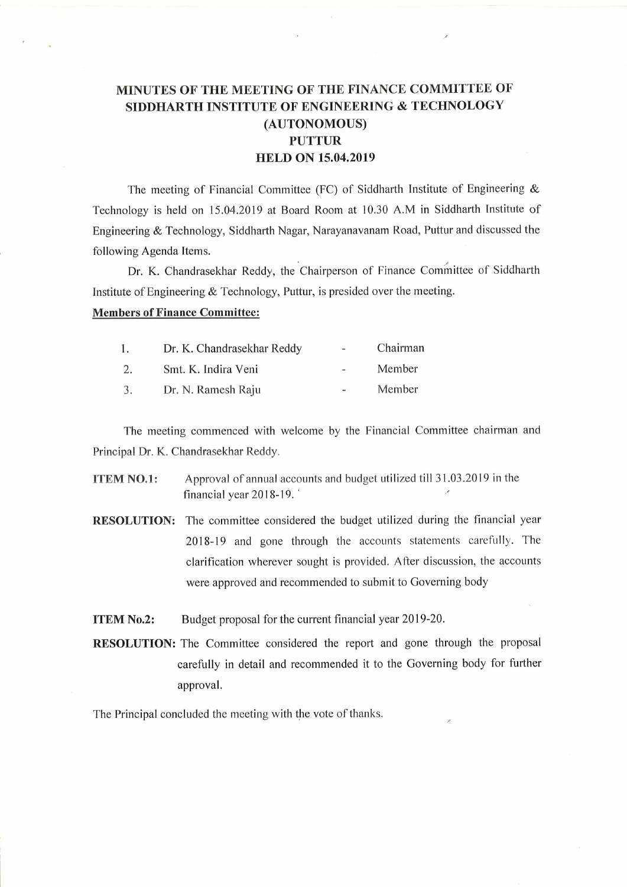## MINUTES OF THE MEETING OF THE FINANCE COMMITTEE OF SIDDHARTH INSTITUTE OF ENGINEERING & TECHNOLOGY (AUTONOMOUS) PUTTUR HELD ON 15.04.2019

The meeting of Financial Committee (FC) of Siddharth Institute of Engineering  $\&$ Technology is held on 15.04.2019 at Board Room at 10.30 A.M in Siddharth Institute of Engineering & Technology, Siddharth Nagar, Narayanavanam Road, Puttur and discussed the following Agenda Items.

Dr. K. Chandrasekhar Reddy, the Chairperson of Finance Committee of Siddharth Institute of Engineering & Technology, Puttur, is presided over the meeting.

## Members of Finance Committee:

| 1. | Dr. K. Chandrasekhar Reddy | $\blacksquare$ | Chairman |
|----|----------------------------|----------------|----------|
| 2. | Smt. K. Indira Veni        | $\sim$         | Member   |
| 3. | Dr. N. Ramesh Raju         | and the        | Member   |

The meeting commenced with welcome by the Financial Committee chairman and Principal Dr. K. Chandrasekhar Reddy.

- ITEM NO.l: Approval of annual accounts and budget utilized till 31.03.2019 in the financial year 2018-19.
- RESOLUTION: The committee considered the budget utilized during the financial year 2018-19 and gone through the accounts statements carefully. The clarification wherever sought is provided. After discussion, the accounts were approved and recommended to submit to Governing body
- **ITEM No.2:** Budget proposal for the current financial year 2019-20.
- RESOLUTION: The Committee considered the report and gone through the proposal carefully in detail and recommended it to the Governing body for further approval.

The Principal concluded the meeting with the vote of thanks.